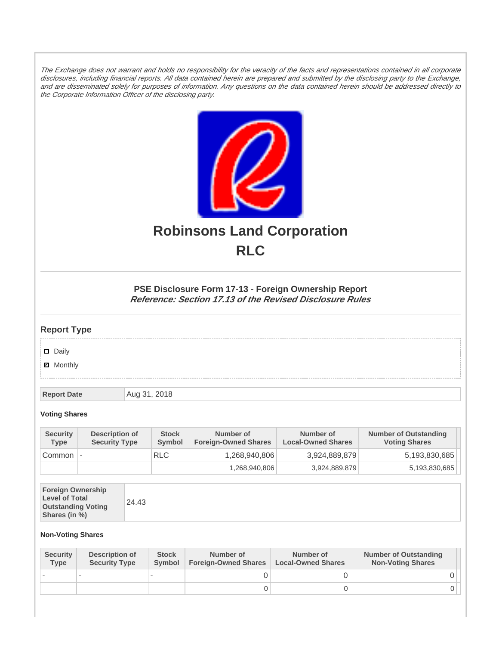The Exchange does not warrant and holds no responsibility for the veracity of the facts and representations contained in all corporate disclosures, including financial reports. All data contained herein are prepared and submitted by the disclosing party to the Exchange, and are disseminated solely for purposes of information. Any questions on the data contained herein should be addressed directly to the Corporate Information Officer of the disclosing party.



# **Robinsons Land Corporation RLC**

## **PSE Disclosure Form 17-13 - Foreign Ownership Report Reference: Section 17.13 of the Revised Disclosure Rules**

## **Report Type**

Daily

**Ø** Monthly

**Report Date Aug 31, 2018** 

#### **Voting Shares**

| <b>Security</b><br><b>Type</b> | Description of<br><b>Security Type</b> | <b>Stock</b><br>Symbol | Number of<br><b>Foreign-Owned Shares</b> | Number of<br><b>Local-Owned Shares</b> | <b>Number of Outstanding</b><br><b>Voting Shares</b> |
|--------------------------------|----------------------------------------|------------------------|------------------------------------------|----------------------------------------|------------------------------------------------------|
| Common                         | $\overline{\phantom{a}}$               | <b>RLC</b>             | 1,268,940,806                            | 3,924,889,879                          | 5,193,830,685                                        |
|                                |                                        |                        | 1,268,940,806                            | 3,924,889,879                          | 5,193,830,685                                        |

| <b>Foreign Ownership</b><br><b>Level of Total</b><br><b>Outstanding Voting</b><br>Shares (in %) |
|-------------------------------------------------------------------------------------------------|
|-------------------------------------------------------------------------------------------------|

### **Non-Voting Shares**

| <b>Security</b><br><b>Type</b> | Description of<br><b>Security Type</b> | <b>Stock</b><br><b>Symbol</b> | Number of<br><b>Foreign-Owned Shares</b> | Number of<br><b>Local-Owned Shares</b> | <b>Number of Outstanding</b><br><b>Non-Voting Shares</b> |
|--------------------------------|----------------------------------------|-------------------------------|------------------------------------------|----------------------------------------|----------------------------------------------------------|
|                                |                                        |                               |                                          |                                        |                                                          |
|                                |                                        |                               | O                                        |                                        |                                                          |